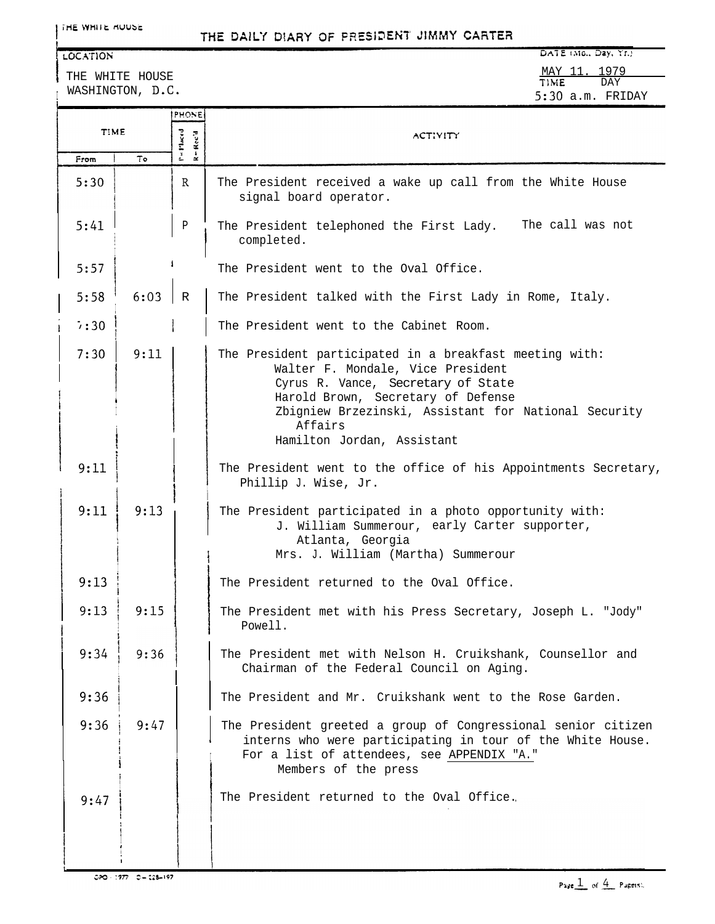#### LOCATION

I l THE WHITE HOUSE WASHINGTON, D.C.

DATE (Mo., Day, Yr.) MAY 11. 1979 **TlbiE** DAY 5:30 a.m. FRIDAY

|             |      | PHONE                        |                                                                                                                                                                                                                                                                           |  |
|-------------|------|------------------------------|---------------------------------------------------------------------------------------------------------------------------------------------------------------------------------------------------------------------------------------------------------------------------|--|
| <b>TIME</b> |      | $P = P$ laced<br>$R = Rcc'd$ | <b>ACTIVITY</b>                                                                                                                                                                                                                                                           |  |
| From        | To   |                              |                                                                                                                                                                                                                                                                           |  |
| 5:30        |      | $\mathbb{R}$                 | The President received a wake up call from the White House<br>signal board operator.                                                                                                                                                                                      |  |
| 5:41        |      | P                            | The President telephoned the First Lady. The call was not<br>completed.                                                                                                                                                                                                   |  |
| 5:57        |      |                              | The President went to the Oval Office.                                                                                                                                                                                                                                    |  |
| 5:58        | 6:03 | $\mathbb R$                  | The President talked with the First Lady in Rome, Italy.                                                                                                                                                                                                                  |  |
| 7:30        |      |                              | The President went to the Cabinet Room.                                                                                                                                                                                                                                   |  |
| 7:30        | 9:11 |                              | The President participated in a breakfast meeting with:<br>Walter F. Mondale, Vice President<br>Cyrus R. Vance, Secretary of State<br>Harold Brown, Secretary of Defense<br>Zbigniew Brzezinski, Assistant for National Security<br>Affairs<br>Hamilton Jordan, Assistant |  |
| 9:11        |      |                              | The President went to the office of his Appointments Secretary,<br>Phillip J. Wise, Jr.                                                                                                                                                                                   |  |
| 9:11        | 9:13 |                              | The President participated in a photo opportunity with:<br>J. William Summerour, early Carter supporter,<br>Atlanta, Georgia<br>Mrs. J. William (Martha) Summerour                                                                                                        |  |
| 9:13        |      |                              | The President returned to the Oval Office.                                                                                                                                                                                                                                |  |
| 9:13        | 9:15 |                              | The President met with his Press Secretary, Joseph L. "Jody"<br>Powell.                                                                                                                                                                                                   |  |
| 9:34        | 9:36 |                              | The President met with Nelson H. Cruikshank, Counsellor and<br>Chairman of the Federal Council on Aging.                                                                                                                                                                  |  |
| 9:36        |      |                              | The President and Mr. Cruikshank went to the Rose Garden.                                                                                                                                                                                                                 |  |
| 9:36        | 9:47 |                              | The President greeted a group of Congressional senior citizen<br>interns who were participating in tour of the White House.<br>For a list of attendees, see APPENDIX "A."<br>Members of the press                                                                         |  |
| 9:47        |      |                              | The President returned to the Oval Office.                                                                                                                                                                                                                                |  |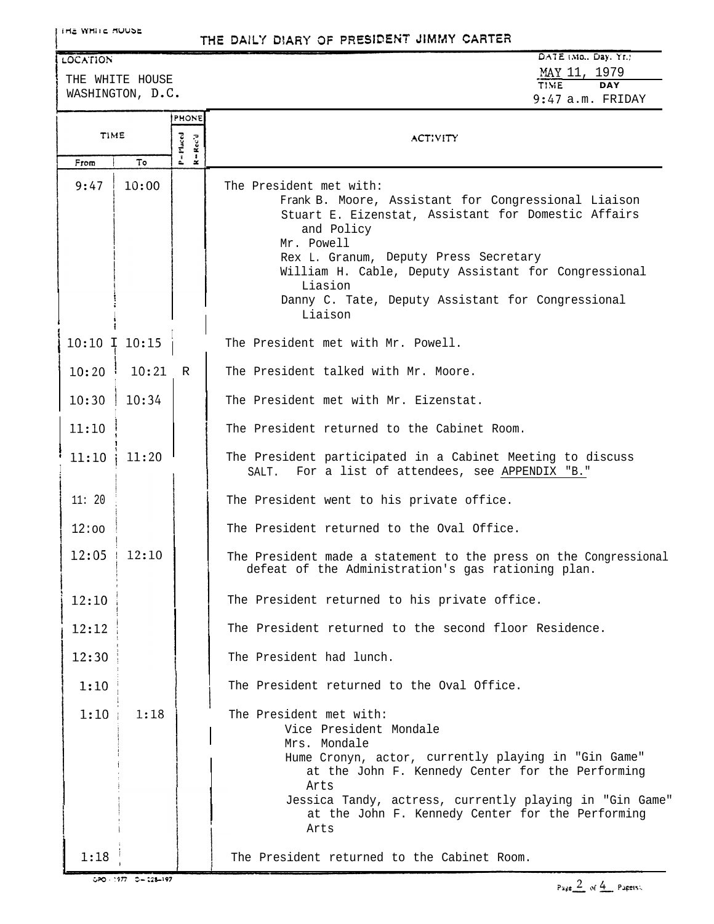### LOCATION

THE WHITE HOUSE WASHINGTON, D.C.

| $U \wedge I \subset (M_0, U_0)$ . II.) |  |                    |  |
|----------------------------------------|--|--------------------|--|
|                                        |  | MAY 11, 1979       |  |
| <b>TIME</b>                            |  | DAY                |  |
|                                        |  | $9:47$ a.m. FRIDAY |  |

|                   |       | <b>PHONE</b>                            |                                                                                                                                                                                                                                                                                                                                               |
|-------------------|-------|-----------------------------------------|-----------------------------------------------------------------------------------------------------------------------------------------------------------------------------------------------------------------------------------------------------------------------------------------------------------------------------------------------|
| TIME              |       | P=Placed<br>$= \text{Rec}^* \textbf{d}$ | ACTIVITY                                                                                                                                                                                                                                                                                                                                      |
| From              | То    | $\approx$                               |                                                                                                                                                                                                                                                                                                                                               |
| 9:47              | 10:00 |                                         | The President met with:<br>Frank B. Moore, Assistant for Congressional Liaison<br>Stuart E. Eizenstat, Assistant for Domestic Affairs<br>and Policy<br>Mr. Powell<br>Rex L. Granum, Deputy Press Secretary<br>William H. Cable, Deputy Assistant for Congressional<br>Liasion<br>Danny C. Tate, Deputy Assistant for Congressional<br>Liaison |
| $10:10$ I $10:15$ |       |                                         | The President met with Mr. Powell.                                                                                                                                                                                                                                                                                                            |
| 10:20             | 10:21 | $\mathbb{R}$                            | The President talked with Mr. Moore.                                                                                                                                                                                                                                                                                                          |
| 10:30             | 10:34 |                                         | The President met with Mr. Eizenstat.                                                                                                                                                                                                                                                                                                         |
| 11:10             |       |                                         | The President returned to the Cabinet Room.                                                                                                                                                                                                                                                                                                   |
| 11:10             | 11:20 |                                         | The President participated in a Cabinet Meeting to discuss<br>For a list of attendees, see APPENDIX "B."<br>SALT.                                                                                                                                                                                                                             |
| 11:20             |       |                                         | The President went to his private office.                                                                                                                                                                                                                                                                                                     |
| 12:00             |       |                                         | The President returned to the Oval Office.                                                                                                                                                                                                                                                                                                    |
| 12:05             | 12:10 |                                         | The President made a statement to the press on the Congressional<br>defeat of the Administration's gas rationing plan.                                                                                                                                                                                                                        |
| 12:10             |       |                                         | The President returned to his private office.                                                                                                                                                                                                                                                                                                 |
| 12:12             |       |                                         | The President returned to the second floor Residence                                                                                                                                                                                                                                                                                          |
| 12:30             |       |                                         | The President had lunch.                                                                                                                                                                                                                                                                                                                      |
| 1:10              |       |                                         | The President returned to the Oval Office.                                                                                                                                                                                                                                                                                                    |
| 1:10              | 1:18  |                                         | The President met with:<br>Vice President Mondale<br>Mrs. Mondale<br>Hume Cronyn, actor, currently playing in "Gin Game"<br>at the John F. Kennedy Center for the Performing<br>Arts<br>Jessica Tandy, actress, currently playing in "Gin Game"<br>at the John F. Kennedy Center for the Performing<br>Arts                                   |
| 1:18              |       |                                         | The President returned to the Cabinet Room.                                                                                                                                                                                                                                                                                                   |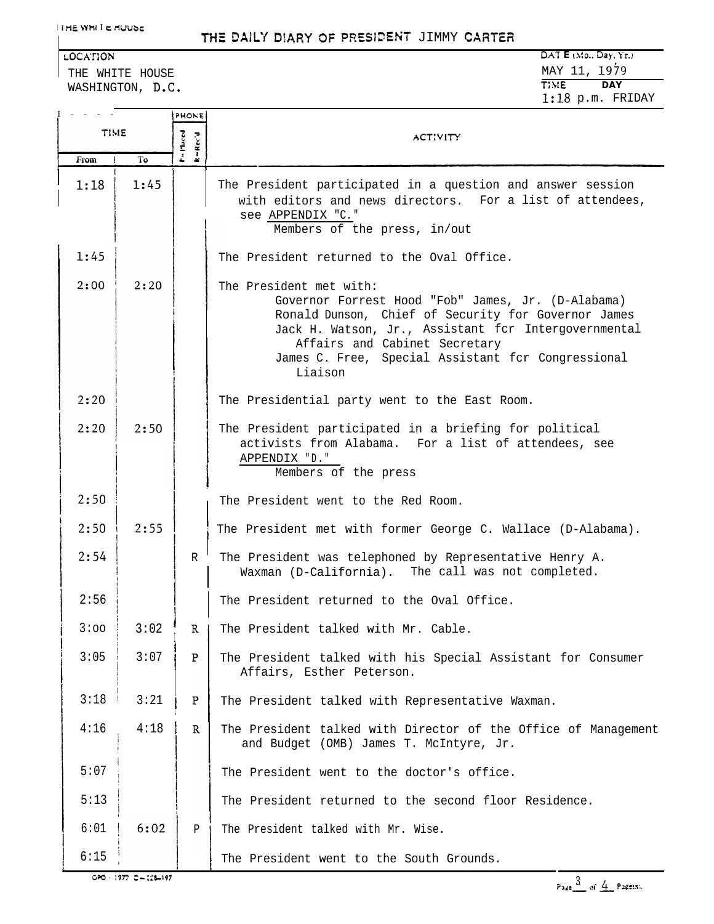THE WHITE HOUSE WASHINGTON, D.C.

| LOCATION         | DATA E (M0., Day, Yr.) |
|------------------|------------------------|
| THE WHITE HOUSE  | MAY 11, 1979           |
| WASHINGTON, D.C. | TIME.<br>DAY           |
|                  | $1:18$ p.m. FRIDAY     |

|             |                          | PHONE                                                                        |                                                                                                                                                                                                                                                                                                |  |
|-------------|--------------------------|------------------------------------------------------------------------------|------------------------------------------------------------------------------------------------------------------------------------------------------------------------------------------------------------------------------------------------------------------------------------------------|--|
| <b>TIME</b> |                          | P = Placed<br>$\mathbf{R} = \mathbf{R}\,\mathbf{c}\,\mathbf{c}'\,\mathbf{d}$ | ACTIVITY                                                                                                                                                                                                                                                                                       |  |
| From        | To                       |                                                                              |                                                                                                                                                                                                                                                                                                |  |
| 1:18        | 1:45                     |                                                                              | The President participated in a question and answer session<br>with editors and news directors. For a list of attendees,<br>see APPENDIX "C."<br>Members of the press, in/out                                                                                                                  |  |
| 1:45        |                          |                                                                              | The President returned to the Oval Office.                                                                                                                                                                                                                                                     |  |
| 2:00        | 2:20                     |                                                                              | The President met with:<br>Governor Forrest Hood "Fob" James, Jr. (D-Alabama)<br>Ronald Dunson, Chief of Security for Governor James<br>Jack H. Watson, Jr., Assistant for Intergovernmental<br>Affairs and Cabinet Secretary<br>James C. Free, Special Assistant for Congressional<br>Liaison |  |
| 2:20        |                          |                                                                              | The Presidential party went to the East Room.                                                                                                                                                                                                                                                  |  |
| 2:20        | 2:50                     |                                                                              | The President participated in a briefing for political<br>activists from Alabama. For a list of attendees, see<br>APPENDIX "D."<br>Members of the press                                                                                                                                        |  |
| 2:50        |                          |                                                                              | The President went to the Red Room.                                                                                                                                                                                                                                                            |  |
| 2:50        | 2:55                     |                                                                              | The President met with former George C. Wallace (D-Alabama).                                                                                                                                                                                                                                   |  |
| 2:54        |                          | R                                                                            | The President was telephoned by Representative Henry A.<br>Waxman (D-California). The call was not completed.                                                                                                                                                                                  |  |
| 2:56        |                          |                                                                              | The President returned to the Oval Office.                                                                                                                                                                                                                                                     |  |
| 3:00        | 3:02                     | $\mathbb{R}$                                                                 | The President talked with Mr. Cable.                                                                                                                                                                                                                                                           |  |
| 3:05        | 3:07                     | P                                                                            | The President talked with his Special Assistant for Consumer<br>Affairs, Esther Peterson.                                                                                                                                                                                                      |  |
| 3:18        | 3:21                     | P                                                                            | The President talked with Representative Waxman.                                                                                                                                                                                                                                               |  |
| 4:16        | 4:18                     | $\mathbb{R}$                                                                 | The President talked with Director of the Office of Management<br>and Budget (OMB) James T. McIntyre, Jr.                                                                                                                                                                                      |  |
| 5:07        |                          |                                                                              | The President went to the doctor's office.                                                                                                                                                                                                                                                     |  |
| 5:13        |                          |                                                                              | The President returned to the second floor Residence.                                                                                                                                                                                                                                          |  |
| 6:01        | 6:02                     | Ρ                                                                            | The President talked with Mr. Wise.                                                                                                                                                                                                                                                            |  |
| 6:15        |                          |                                                                              | The President went to the South Grounds.                                                                                                                                                                                                                                                       |  |
|             | 020 - 1977 - 0 - 128-197 |                                                                              | Page $\frac{3}{2}$ of $\frac{4}{2}$ Page(s).                                                                                                                                                                                                                                                   |  |